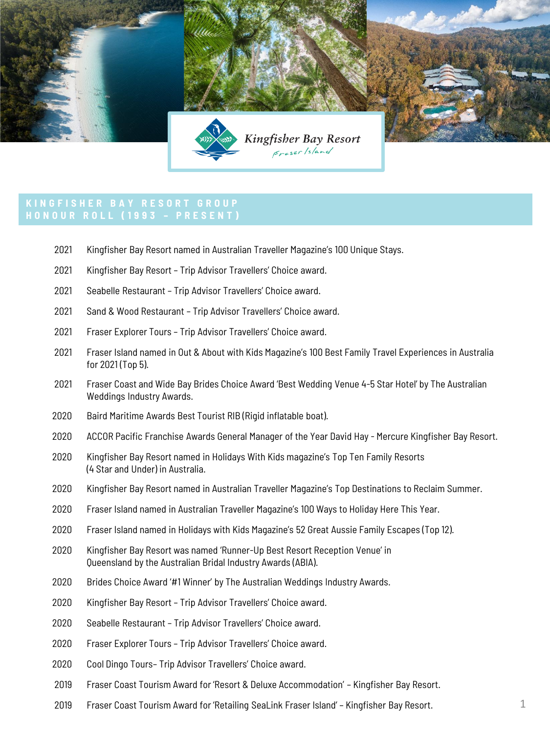

- Kingfisher Bay Resort named in Australian Traveller Magazine's 100 Unique Stays.
- Kingfisher Bay Resort Trip Advisor Travellers' Choice award.
- Seabelle Restaurant Trip Advisor Travellers' Choice award.
- Sand & Wood Restaurant Trip Advisor Travellers' Choice award.
- Fraser Explorer Tours Trip Advisor Travellers' Choice award.
- Fraser Island named in Out & About with Kids Magazine's 100 Best Family Travel Experiences in Australia for 2021 (Top 5).
- Fraser Coast and Wide Bay Brides Choice Award 'Best Wedding Venue 4-5 Star Hotel' by The Australian Weddings Industry Awards.
- Baird Maritime Awards Best Tourist RIB (Rigid inflatable boat).
- ACCOR Pacific Franchise Awards General Manager of the Year David Hay Mercure Kingfisher Bay Resort.
- Kingfisher Bay Resort named in Holidays With Kids magazine's Top Ten Family Resorts (4 Star and Under) in Australia.
- Kingfisher Bay Resort named in Australian Traveller Magazine's Top Destinations to Reclaim Summer.
- Fraser Island named in Australian Traveller Magazine's 100 Ways to Holiday Here This Year.
- Fraser Island named in Holidays with Kids Magazine's 52 Great Aussie Family Escapes (Top 12).
- Kingfisher Bay Resort was named 'Runner-Up Best Resort Reception Venue' in Queensland by the Australian Bridal Industry Awards (ABIA).
- Brides Choice Award '#1 Winner' by The Australian Weddings Industry Awards.
- Kingfisher Bay Resort Trip Advisor Travellers' Choice award.
- Seabelle Restaurant Trip Advisor Travellers' Choice award.
- Fraser Explorer Tours Trip Advisor Travellers' Choice award.
- Cool Dingo Tours– Trip Advisor Travellers' Choice award.
- Fraser Coast Tourism Award for 'Resort & Deluxe Accommodation' Kingfisher Bay Resort.
- Fraser Coast Tourism Award for 'Retailing SeaLink Fraser Island' Kingfisher Bay Resort.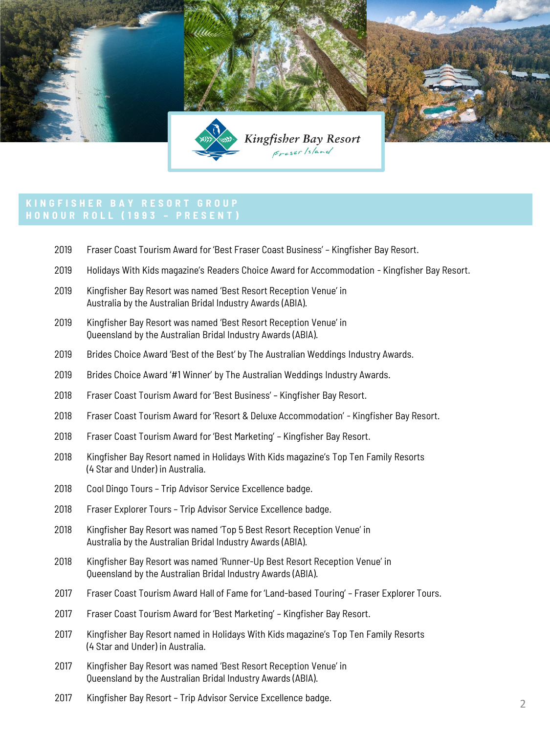

- Fraser Coast Tourism Award for 'Best Fraser Coast Business' Kingfisher Bay Resort.
- Holidays With Kids magazine's Readers Choice Award for Accommodation Kingfisher Bay Resort.
- Kingfisher Bay Resort was named 'Best Resort Reception Venue' in Australia by the Australian Bridal Industry Awards (ABIA).
- Kingfisher Bay Resort was named 'Best Resort Reception Venue' in Queensland by the Australian Bridal Industry Awards (ABIA).
- Brides Choice Award 'Best of the Best' by The Australian Weddings Industry Awards.
- Brides Choice Award '#1 Winner' by The Australian Weddings Industry Awards.
- Fraser Coast Tourism Award for 'Best Business' Kingfisher Bay Resort.
- Fraser Coast Tourism Award for 'Resort & Deluxe Accommodation' Kingfisher Bay Resort.
- Fraser Coast Tourism Award for 'Best Marketing' Kingfisher Bay Resort.
- Kingfisher Bay Resort named in Holidays With Kids magazine's Top Ten Family Resorts (4 Star and Under) in Australia.
- Cool Dingo Tours Trip Advisor Service Excellence badge.
- Fraser Explorer Tours Trip Advisor Service Excellence badge.
- Kingfisher Bay Resort was named 'Top 5 Best Resort Reception Venue' in Australia by the Australian Bridal Industry Awards (ABIA).
- Kingfisher Bay Resort was named 'Runner-Up Best Resort Reception Venue' in Queensland by the Australian Bridal Industry Awards (ABIA).
- Fraser Coast Tourism Award Hall of Fame for 'Land-based Touring' Fraser Explorer Tours.
- Fraser Coast Tourism Award for 'Best Marketing' Kingfisher Bay Resort.
- Kingfisher Bay Resort named in Holidays With Kids magazine's Top Ten Family Resorts (4 Star and Under) in Australia.
- Kingfisher Bay Resort was named 'Best Resort Reception Venue' in Queensland by the Australian Bridal Industry Awards (ABIA).
- Kingfisher Bay Resort Trip Advisor Service Excellence badge.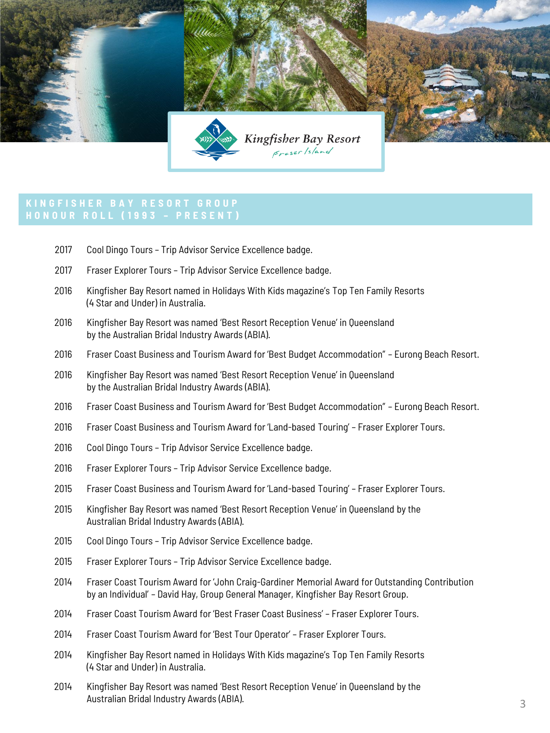

- Cool Dingo Tours Trip Advisor Service Excellence badge.
- Fraser Explorer Tours Trip Advisor Service Excellence badge.
- Kingfisher Bay Resort named in Holidays With Kids magazine's Top Ten Family Resorts (4 Star and Under) in Australia.
- Kingfisher Bay Resort was named 'Best Resort Reception Venue' in Queensland by the Australian Bridal Industry Awards (ABIA).
- Fraser Coast Business and Tourism Award for 'Best Budget Accommodation" Eurong Beach Resort.
- Kingfisher Bay Resort was named 'Best Resort Reception Venue' in Queensland by the Australian Bridal Industry Awards (ABIA).
- Fraser Coast Business and Tourism Award for 'Best Budget Accommodation" Eurong Beach Resort.
- Fraser Coast Business and Tourism Award for 'Land-based Touring' Fraser Explorer Tours.
- Cool Dingo Tours Trip Advisor Service Excellence badge.
- Fraser Explorer Tours Trip Advisor Service Excellence badge.
- Fraser Coast Business and Tourism Award for 'Land-based Touring' Fraser Explorer Tours.
- Kingfisher Bay Resort was named 'Best Resort Reception Venue' in Queensland by the Australian Bridal Industry Awards (ABIA).
- Cool Dingo Tours Trip Advisor Service Excellence badge.
- Fraser Explorer Tours Trip Advisor Service Excellence badge.
- Fraser Coast Tourism Award for 'John Craig-Gardiner Memorial Award for Outstanding Contribution by an Individual' – David Hay, Group General Manager, Kingfisher Bay Resort Group.
- Fraser Coast Tourism Award for 'Best Fraser Coast Business' Fraser Explorer Tours.
- Fraser Coast Tourism Award for 'Best Tour Operator' Fraser Explorer Tours.
- Kingfisher Bay Resort named in Holidays With Kids magazine's Top Ten Family Resorts (4 Star and Under) in Australia.
- Kingfisher Bay Resort was named 'Best Resort Reception Venue' in Queensland by the Australian Bridal Industry Awards (ABIA).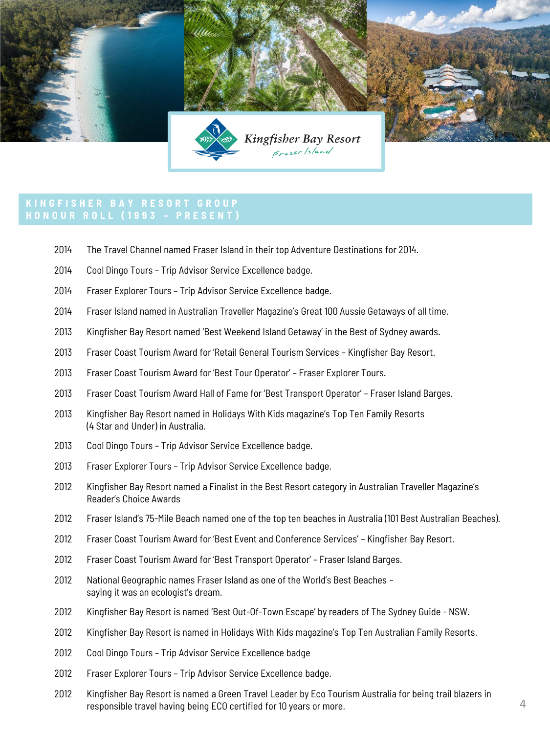

- The Travel Channel named Fraser Island in their top Adventure Destinations for 2014.
- Cool Dingo Tours Trip Advisor Service Excellence badge.
- Fraser Explorer Tours Trip Advisor Service Excellence badge.
- Fraser Island named in Australian Traveller Magazine's Great 100 Aussie Getaways of all time.
- Kingfisher Bay Resort named 'Best Weekend Island Getaway' in the Best of Sydney awards.
- Fraser Coast Tourism Award for 'Retail General Tourism Services Kingfisher Bay Resort.
- Fraser Coast Tourism Award for 'Best Tour Operator' Fraser Explorer Tours.
- Fraser Coast Tourism Award Hall of Fame for 'Best Transport Operator' Fraser Island Barges.
- Kingfisher Bay Resort named in Holidays With Kids magazine's Top Ten Family Resorts (4 Star and Under) in Australia.
- Cool Dingo Tours Trip Advisor Service Excellence badge.
- Fraser Explorer Tours Trip Advisor Service Excellence badge.
- Kingfisher Bay Resort named a Finalist in the Best Resort category in Australian Traveller Magazine's Reader's Choice Awards
- Fraser Island's 75-Mile Beach named one of the top ten beaches in Australia (101 Best Australian Beaches).
- Fraser Coast Tourism Award for 'Best Event and Conference Services' Kingfisher Bay Resort.
- Fraser Coast Tourism Award for 'Best Transport Operator' Fraser Island Barges.
- National Geographic names Fraser Island as one of the World's Best Beaches saying it was an ecologist's dream.
- Kingfisher Bay Resort is named 'Best Out-Of-Town Escape' by readers of The Sydney Guide NSW.
- Kingfisher Bay Resort is named in Holidays With Kids magazine's Top Ten Australian Family Resorts.
- Cool Dingo Tours Trip Advisor Service Excellence badge
- Fraser Explorer Tours Trip Advisor Service Excellence badge.
- Kingfisher Bay Resort is named a Green Travel Leader by Eco Tourism Australia for being trail blazers in responsible travel having being ECO certified for 10 years or more.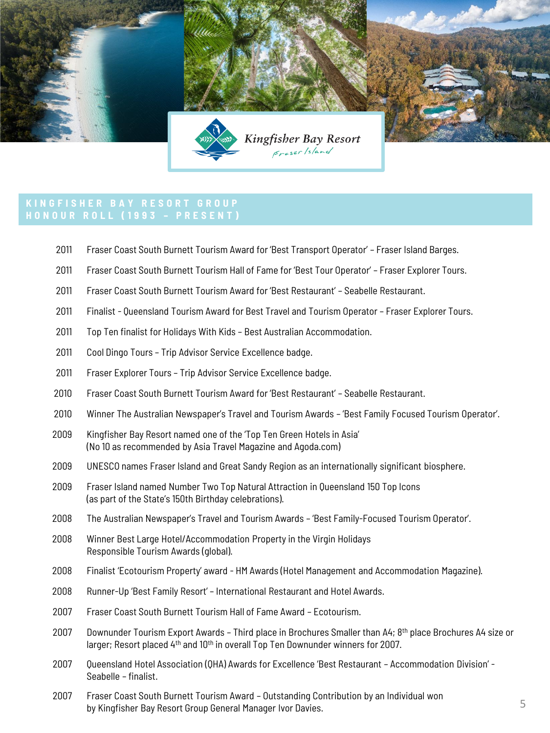

- Fraser Coast South Burnett Tourism Award for 'Best Transport Operator' Fraser Island Barges.
- Fraser Coast South Burnett Tourism Hall of Fame for 'Best Tour Operator' Fraser Explorer Tours.
- Fraser Coast South Burnett Tourism Award for 'Best Restaurant' Seabelle Restaurant.
- Finalist Queensland Tourism Award for Best Travel and Tourism Operator Fraser Explorer Tours.
- Top Ten finalist for Holidays With Kids Best Australian Accommodation.
- Cool Dingo Tours Trip Advisor Service Excellence badge.
- Fraser Explorer Tours Trip Advisor Service Excellence badge.
- Fraser Coast South Burnett Tourism Award for 'Best Restaurant' Seabelle Restaurant.
- Winner The Australian Newspaper's Travel and Tourism Awards 'Best Family Focused Tourism Operator'.
- Kingfisher Bay Resort named one of the 'Top Ten Green Hotels in Asia' (No 10 as recommended by Asia Travel Magazine and Agoda.com)
- UNESCO names Fraser Island and Great Sandy Region as an internationally significant biosphere.
- Fraser Island named Number Two Top Natural Attraction in Queensland 150 Top Icons (as part of the State's 150th Birthday celebrations).
- The Australian Newspaper's Travel and Tourism Awards 'Best Family-Focused Tourism Operator'.
- Winner Best Large Hotel/Accommodation Property in the Virgin Holidays Responsible Tourism Awards (global).
- Finalist 'Ecotourism Property' award HM Awards (Hotel Management and Accommodation Magazine).
- Runner-Up 'Best Family Resort' International Restaurant and Hotel Awards.
- Fraser Coast South Burnett Tourism Hall of Fame Award Ecotourism.
- 2007 Downunder Tourism Export Awards Third place in Brochures Smaller than A4; 8<sup>th</sup> place Brochures A4 size or larger; Resort placed 4<sup>th</sup> and 10<sup>th</sup> in overall Top Ten Downunder winners for 2007.
- Queensland Hotel Association (QHA) Awards for Excellence 'Best Restaurant Accommodation Division' Seabelle – finalist.
- Fraser Coast South Burnett Tourism Award Outstanding Contribution by an Individual won by Kingfisher Bay Resort Group General Manager Ivor Davies.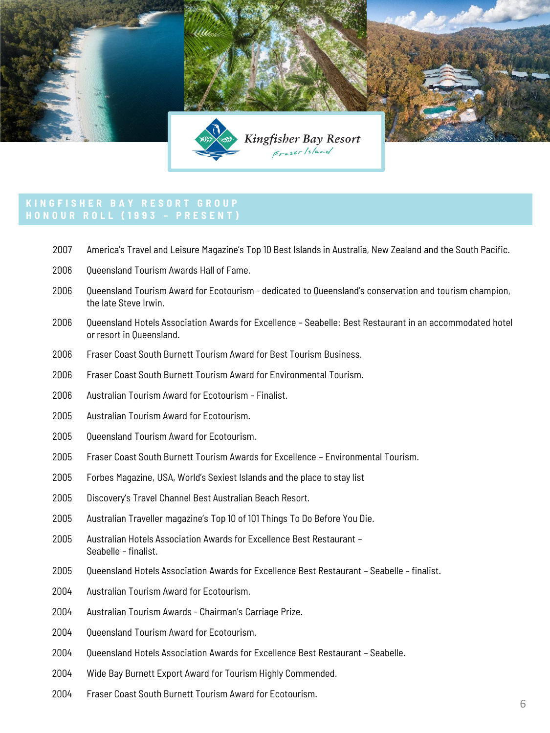

- America's Travel and Leisure Magazine's Top 10 Best Islands in Australia, New Zealand and the South Pacific.
- 2006 Oueensland Tourism Awards Hall of Fame.
- Queensland Tourism Award for Ecotourism dedicated to Queensland's conservation and tourism champion, the late Steve Irwin.
- Queensland Hotels Association Awards for Excellence Seabelle: Best Restaurant in an accommodated hotel or resort in Queensland.
- Fraser Coast South Burnett Tourism Award for Best Tourism Business.
- Fraser Coast South Burnett Tourism Award for Environmental Tourism.
- Australian Tourism Award for Ecotourism Finalist.
- Australian Tourism Award for Ecotourism.
- 2005 Oueensland Tourism Award for Ecotourism.
- Fraser Coast South Burnett Tourism Awards for Excellence Environmental Tourism.
- Forbes Magazine, USA, World's Sexiest Islands and the place to stay list
- Discovery's Travel Channel Best Australian Beach Resort.
- Australian Traveller magazine's Top 10 of 101 Things To Do Before You Die.
- Australian Hotels Association Awards for Excellence Best Restaurant Seabelle – finalist.
- Queensland Hotels Association Awards for Excellence Best Restaurant Seabelle finalist.
- Australian Tourism Award for Ecotourism.
- Australian Tourism Awards Chairman's Carriage Prize.
- 2004 Oueensland Tourism Award for Ecotourism.
- Queensland Hotels Association Awards for Excellence Best Restaurant Seabelle.
- Wide Bay Burnett Export Award for Tourism Highly Commended.
- Fraser Coast South Burnett Tourism Award for Ecotourism.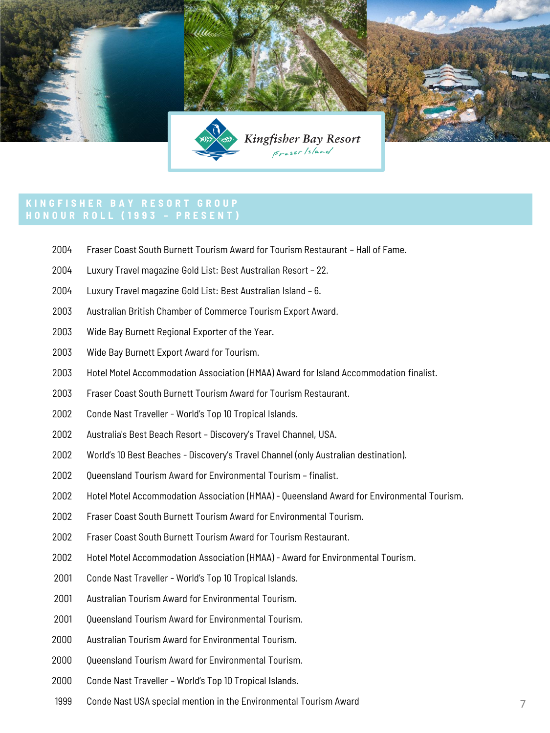

- Fraser Coast South Burnett Tourism Award for Tourism Restaurant Hall of Fame.
- Luxury Travel magazine Gold List: Best Australian Resort 22.
- Luxury Travel magazine Gold List: Best Australian Island 6.
- Australian British Chamber of Commerce Tourism Export Award.
- Wide Bay Burnett Regional Exporter of the Year.
- Wide Bay Burnett Export Award for Tourism.
- Hotel Motel Accommodation Association (HMAA) Award for Island Accommodation finalist.
- Fraser Coast South Burnett Tourism Award for Tourism Restaurant.
- Conde Nast Traveller World's Top 10 Tropical Islands.
- Australia's Best Beach Resort Discovery's Travel Channel, USA.
- World's 10 Best Beaches Discovery's Travel Channel (only Australian destination).
- 2002 Oueensland Tourism Award for Environmental Tourism finalist.
- Hotel Motel Accommodation Association (HMAA) Queensland Award for Environmental Tourism.
- Fraser Coast South Burnett Tourism Award for Environmental Tourism.
- Fraser Coast South Burnett Tourism Award for Tourism Restaurant.
- Hotel Motel Accommodation Association (HMAA) Award for Environmental Tourism.
- Conde Nast Traveller World's Top 10 Tropical Islands.
- 2001 Australian Tourism Award for Environmental Tourism.
- 2001 Oueensland Tourism Award for Environmental Tourism.
- Australian Tourism Award for Environmental Tourism.
- 2000 Oueensland Tourism Award for Environmental Tourism.
- Conde Nast Traveller World's Top 10 Tropical Islands.
- Conde Nast USA special mention in the Environmental Tourism Award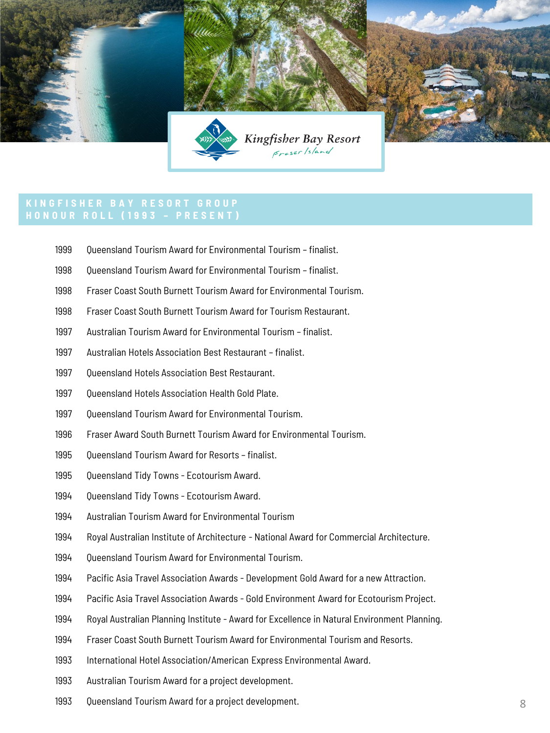

- 1999 Oueensland Tourism Award for Environmental Tourism finalist.
- Queensland Tourism Award for Environmental Tourism finalist.
- Fraser Coast South Burnett Tourism Award for Environmental Tourism.
- Fraser Coast South Burnett Tourism Award for Tourism Restaurant.
- Australian Tourism Award for Environmental Tourism finalist.
- Australian Hotels Association Best Restaurant finalist.
- 1997 Oueensland Hotels Association Best Restaurant.
- 1997 Oueensland Hotels Association Health Gold Plate.
- 1997 Oueensland Tourism Award for Environmental Tourism.
- Fraser Award South Burnett Tourism Award for Environmental Tourism.
- Queensland Tourism Award for Resorts finalist.
- Queensland Tidy Towns Ecotourism Award.
- 1994 Oueensland Tidy Towns Ecotourism Award.
- Australian Tourism Award for Environmental Tourism
- Royal Australian Institute of Architecture National Award for Commercial Architecture.
- 1994 Oueensland Tourism Award for Environmental Tourism.
- Pacific Asia Travel Association Awards Development Gold Award for a new Attraction.
- Pacific Asia Travel Association Awards Gold Environment Award for Ecotourism Project.
- Royal Australian Planning Institute Award for Excellence in Natural Environment Planning.
- Fraser Coast South Burnett Tourism Award for Environmental Tourism and Resorts.
- International Hotel Association/American Express Environmental Award.
- Australian Tourism Award for a project development.
- Queensland Tourism Award for a project development.